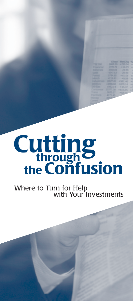# **Cutting theConfusion through**

#### Where to Turn for Help with Your Investments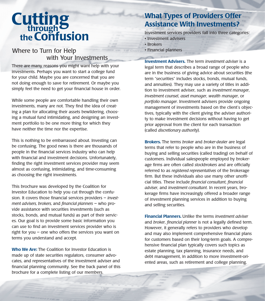## **Cutting theConfusion through**

#### Where to Turn for Help with Your Investments

There are many reasons you might want help with your investments. Perhaps you want to start a college fund for your child. Maybe you are concerned that you are not doing enough to save for retirement. Or maybe you simply feel the need to get your financial house in order.

While some people are comfortable handling their own investments, many are not. They find the idea of creating a plan for allocating their assets bewildering, choosing a mutual fund intimidating, and designing an investment portfolio to be one more thing for which they have neither the time nor the expertise.

This is nothing to be embarrassed about. Investing can be confusing. The good news is there are thousands of people in the financial services industry who can help with financial and investment decisions. Unfortunately, finding the right investment services provider may seem almost as confusing, intimidating, and time-consuming as choosing the right investments.

This brochure was developed by the Coalition for Investor Education to help you cut through the confusion. It covers those financial services providers – *investment advisers, brokers,* and *financial planners* – who provide assistance with securities investments (such as stocks, bonds, and mutual funds) as part of their services. Our goal is to provide some basic information you can use to find an investment services provider who is right for you – one who offers the services you want on terms you understand and accept.

**Who We Are:** The Coalition for Investor Education is made up of state securities regulators, consumer advocates, and representatives of the investment adviser and financial planning community. See the back panel of this brochure for a complete listing of our members.

### **What Types of Providers Offer Assistance With Investments?**

Investment services providers fall into three categories:

- Investment advisers
- Brokers
- Financial planners

**Investment Advisers.** The term *investment adviser* is a legal term that describes a broad range of people who are in the business of giving advice about securities (the term "securities" includes stocks, bonds, mutual funds, and annuities). They may use a variety of titles in addition to investment adviser, such as *investment manager*, *investment counsel*, *asset manager*, *wealth manager*, or *portfolio manager*. Investment advisers provide ongoing management of investments based on the client's objectives, typically with the client giving the adviser authority to make investment decisions without having to get prior approval from the client for each transaction (called *discretionary authority*).

**Brokers.** The terms *broker* and *broker-dealer* are legal terms that refer to people who are in the business of buying and selling securities (called trading) on behalf of customers. Individual salespeople employed by brokerage firms are often called *stockbrokers* and are officially referred to as *registered representatives* of the brokerage firm. But these individuals also use many other unofficial titles. These include *financial consultant*, *financial adviser*, and *investment consultant*. In recent years, brokerage firms have increasingly offered a broader range of investment planning services in addition to buying and selling securities.

**Financial Planners.** Unlike the terms *investment adviser* and *broker*, *financial planner* is not a legally defined term. However, it generally refers to providers who develop and may also implement comprehensive financial plans for customers based on their long-term goals. A comprehensive financial plan typically covers such topics as estate planning, tax planning, insurance needs, and debt management, in addition to more investment-oriented areas, such as retirement and college planning.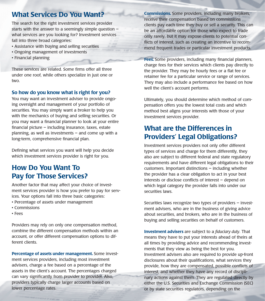#### **What Services Do You Want?**

The search for the right investment services provider starts with the answer to a seemingly simple question – what services are you looking for? Investment services fall into three broad categories:

- Assistance with buying and selling securities
- Ongoing management of investments
- Financial planning

These services are related. Some firms offer all three under one roof, while others specialize in just one or two.

#### **So how do you know what is right for you?**

You may want an investment adviser to provide ongoing oversight and management of your portfolio of securities. You may simply want a broker to help you with the mechanics of buying and selling securities. Or you may want a financial planner to look at your entire financial picture – including insurance, taxes, estate planning, as well as investments – and come up with a long-term, comprehensive financial plan.

Defining what services you want will help you decide which investment services provider is right for you.

### **How Do You Want To Pay for Those Services?**

Another factor that may affect your choice of investment services provider is how you prefer to pay for services. Your options fall into three basic categories:

- Percentage of assets under management
- Commissions
- Fees

Providers may rely on only one compensation method, combine the different compensation methods within an account, or offer different compensation options to different clients.

**Percentage of assets under management.** Some investment services providers, including most investment advisers, charge a fee based on a percentage of the assets in the client's account. The percentages charged can vary significantly from provider to provider. Also, providers typically charge larger accounts based on lower percentage rates.

**Commissions.** Some providers, including many brokers, receive their compensation based on commissions clients pay each time they buy or sell a security. This can be an affordable option for those who expect to trade only rarely, but it may expose clients to potential conflicts of interest, such as creating an incentive to recommend frequent trades or particular investment products.

**Fees.** Some providers, including many financial planners, charge fees for their services which clients pay directly to the provider. They may be hourly fees or a flat fee or retainer fee for a particular service or range of services. They may also include a performance fee based on how well the client's account performs.

Ultimately, you should determine which method of compensation offers you the lowest total costs and which method best aligns your interests with those of your investment services provider.

#### **What are the Differences in Providers' Legal Obligations?**

Investment services providers not only offer different types of services and charge for them differently, they also are subject to different federal and state regulatory requirements and have different legal obligations to their customers. Important distinctions – including whether the provider has a clear obligation to act in your best interests or disclose conflicts of interest – depend on which legal category the provider falls into under our securities laws.

Securities laws recognize two types of providers – investment advisers, who are in the business of giving advice about securities, and brokers, who are in the business of buying and selling securities on behalf of customers.

**Investment advisers** are subject to a *fiduciary duty*. That means they have to put your interests ahead of theirs at all times by providing advice and recommending investments that they view as being the best for you. Investment advisers also are required to provide up-front disclosures about their qualifications, what services they provide, how they are compensated, possible conflicts of interest, and whether they have any record of disciplinary actions against them. They are regulated directly by either the U.S. Securities and Exchange Commission (SEC) or by state securities regulators, depending on the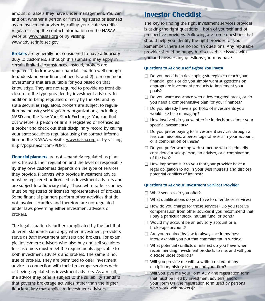amount of assets they have under management. You can find out whether a person or firm is registered or licensed as an investment adviser by calling your state securities regulator using the contact information on the NASAA website: www.nasaa.org or by visiting: www.adviserinfo.sec.gov.

**Brokers** are generally not considered to have a fiduciary duty to customers, although this standard may apply in certain limited circumstances. Instead, brokers are required: 1) to know your financial situation well enough to understand your financial needs, and 2) to recommend investments that are suitable for you based on that knowledge. They are not required to provide up-front disclosure of the type provided by investment advisers. In addition to being regulated directly by the SEC and by state securities regulators, brokers are subject to regulation by industry self-regulatory organizations, including NASD and the New York Stock Exchange. You can find out whether a person or firm is registered or licensed as a broker and check out their disciplinary record by calling your state securities regulator using the contact information on the NASAA website: www.nasaa.org or by visiting http://pdpi.nasdr.com/PDPI/.

**Financial planners** are not separately regulated as planners. Instead, their regulation and the level of responsibility they owe customers depends on the type of services they provide. Planners who provide investment advice must be registered or licensed as investment advisers and are subject to a fiduciary duty. Those who trade securities must be registered or licensed representatives of brokers. Some financial planners perform other activities that do not involve securities and therefore are not regulated under laws governing either investment advisers or brokers.

The legal situation is further complicated by the fact that different standards can apply when investment providers serve as *both* investment advisers and brokers. For example, investment advisers who also buy and sell securities for customers must meet the requirements applicable to both investment advisers and brokers. The same is not true of brokers. They are permitted to offer investment advice in connection with their brokerage services without being regulated as investment advisers. As a result, the advice they offer is subject to the suitability standard that governs brokerage activities rather than the higher fiduciary duty that applies to investment advisers.

#### **Investor Checklist**

The key to finding the right investment services provider is asking the right questions – both of yourself and of prospective providers. Following are some questions that should help you identify the right provider for you. Remember, there are no foolish questions. Any reputable provider should be happy to discuss these issues with you and answer any questions you may have.

#### **Questions to Ask Yourself** *Before* **You Invest**

- $\Box$  Do you need help developing strategies to reach your financial goals or do you simply want suggestions on appropriate investment products to implement your goals?
- $\Box$  Do you want assistance with a few targeted areas, or do you need a comprehensive plan for your finances?
- $\Box$  Do you already have a portfolio of investments you would like help managing?
- $\Box$  How involved do you want to be in decisions about your specific investments?
- $\Box$  Do you prefer paying for investment services through a fee, commissions, a percentage of assets in your account, or a combination of these?
- $\Box$  Do you prefer working with someone who is primarily considered a salesperson, an adviser, or a combination of the two?
- $\Box$  How important is it to you that your provider have a legal obligation to act in your best interests and disclose potential conflicts of interest?

#### **Questions to Ask Your Investment Services Provider**

- $\Box$  What services do you offer?
- $\Box$  What qualifications do you have to offer those services?
- $\Box$  How do you charge for those services? Do you receive compensation from other sources if you recommend that I buy a particular stock, mutual fund, or bond?
- $\Box$  Would my account be an advisory account or a brokerage account?
- $\Box$  Are you required by law to always act in my best interests? Will you put that commitment in writing?
- $\Box$  What potential conflicts of interest do you have when recommending investment products to me, and will you disclose those conflicts?
- $\Box$  Will you provide me with a written record of any disciplinary history for you and your firm?
- $\Box$  Will you give me your Form ADV (the registration form that must be filed by investment advisers) and/or your Form U4 (the registration form used by persons who work with brokers)?